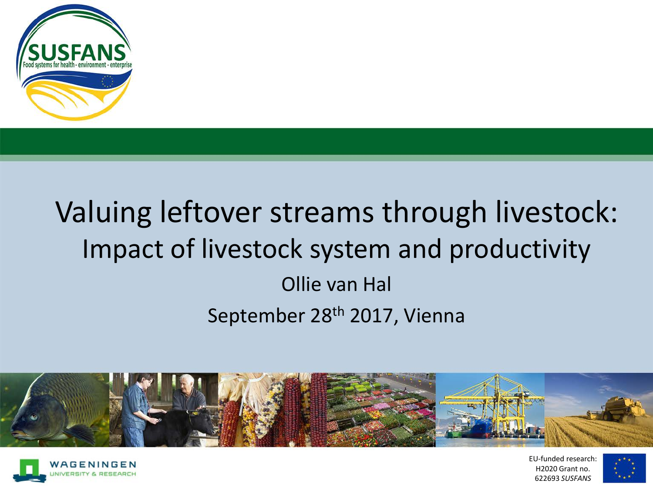

# Valuing leftover streams through livestock: Impact of livestock system and productivity Ollie van Hal September 28th 2017, Vienna





EU-funded research: H2020 Grant no. 622693 *SUSFANS*

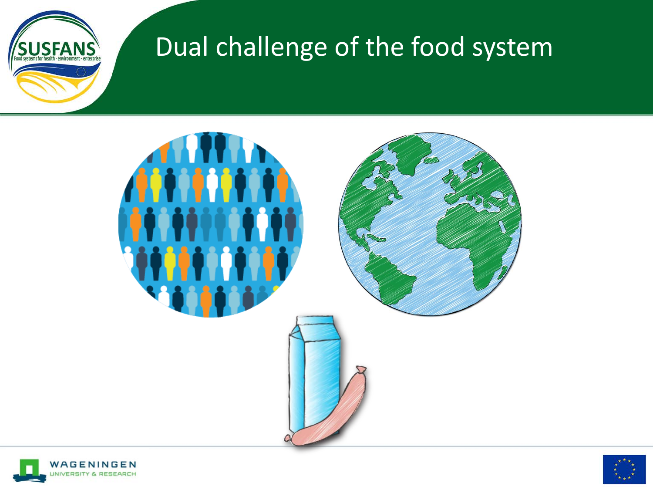

## Dual challenge of the food system





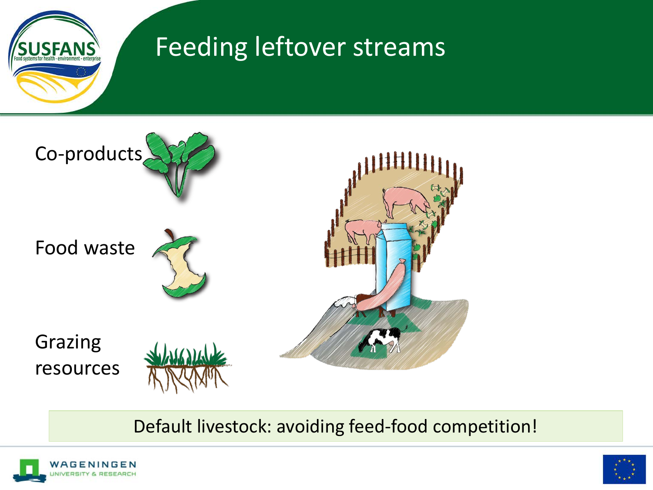

### Feeding leftover streams



#### Default livestock: avoiding feed-food competition!



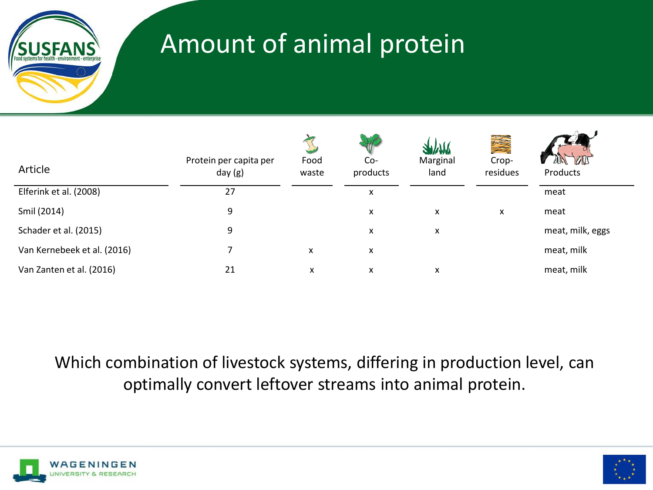

## Amount of animal protein

| Article                     | Protein per capita per<br>day $(g)$ | Food<br>waste | Co-<br>products | Marginal<br>land | Crop-<br>residues | <b>BIT</b><br>Products |
|-----------------------------|-------------------------------------|---------------|-----------------|------------------|-------------------|------------------------|
| Elferink et al. (2008)      | 27                                  |               | x               |                  |                   | meat                   |
| Smil (2014)                 | 9                                   |               | X               | X                | X                 | meat                   |
| Schader et al. (2015)       | 9                                   |               | X               | X                |                   | meat, milk, eggs       |
| Van Kernebeek et al. (2016) |                                     | X             | X               |                  |                   | meat, milk             |
| Van Zanten et al. (2016)    | 21                                  | x             | X               | x                |                   | meat, milk             |

Which combination of livestock systems, differing in production level, can optimally convert leftover streams into animal protein.



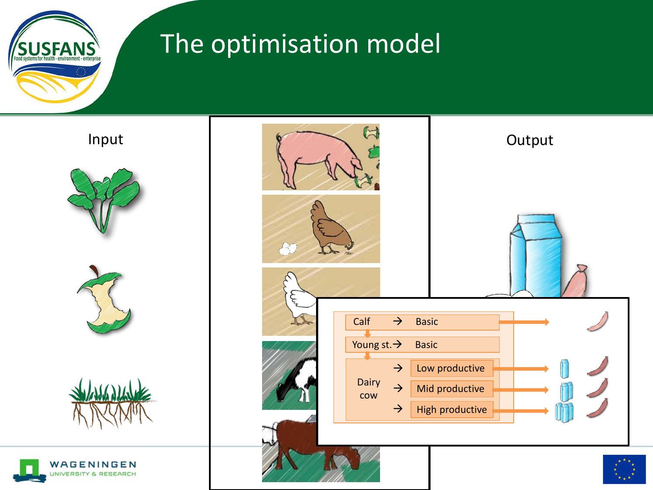

## The optimisation model







#### Input Strategy of the Second Second Second Second Second Second Second Second Second Second Second Second Second Second Second Second Second Second Second Second Second Second Second Second Second Second Second Second Seco  $\curvearrowright$ Calf  $\rightarrow$  Basic Young st.  $\rightarrow$  Basic Low productive  $\rightarrow$ Dairy Mid productive  $\rightarrow$ cow  $\rightarrow$ High productive



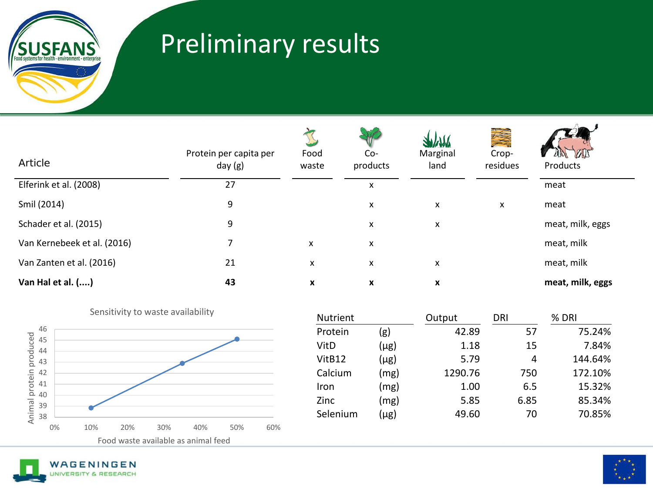

## Preliminary results

| Article                     | Protein per capita per<br>day (g) | Food<br>waste | Co-<br>products | <b>ANYVYNY</b><br>Marginal<br>land | Crop-<br>residues | Products         |
|-----------------------------|-----------------------------------|---------------|-----------------|------------------------------------|-------------------|------------------|
| Elferink et al. (2008)      | 27                                |               | X               |                                    |                   | meat             |
| Smil (2014)                 | 9                                 |               | X               | X                                  | X                 | meat             |
| Schader et al. (2015)       | 9                                 |               | x               | X                                  |                   | meat, milk, eggs |
| Van Kernebeek et al. (2016) |                                   | X             | X               |                                    |                   | meat, milk       |
| Van Zanten et al. (2016)    | 21                                | X             | X               | X                                  |                   | meat, milk       |
| Van Hal et al. ()           | 43                                | X             | X               | X                                  |                   | meat, milk, eggs |



|          | <b>DETIORITY TO WASTE AVAILABILLY</b> | Nutrient |           | Output  | <b>DRI</b> | $%$ DRI |
|----------|---------------------------------------|----------|-----------|---------|------------|---------|
| 46       |                                       | Protein  | (g)       | 42.89   | 57         | 75.24%  |
| 45<br>44 |                                       | VitD     | $(\mu$ g) | 1.18    | 15         | 7.84%   |
| 43       |                                       | VitB12   | $(\mu$ g) | 5.79    | 4          | 144.64% |
| 42       |                                       | Calcium  | (mg)      | 1290.76 | 750        | 172.10% |
| 41       |                                       | Iron     | (mg)      | 1.00    | 6.5        | 15.32%  |
| 40<br>39 |                                       | Zinc     | (mg)      | 5.85    | 6.85       | 85.34%  |
| 38       |                                       | Selenium | $(\mu$ g) | 49.60   | 70         | 70.85%  |
|          |                                       |          |           |         |            |         |



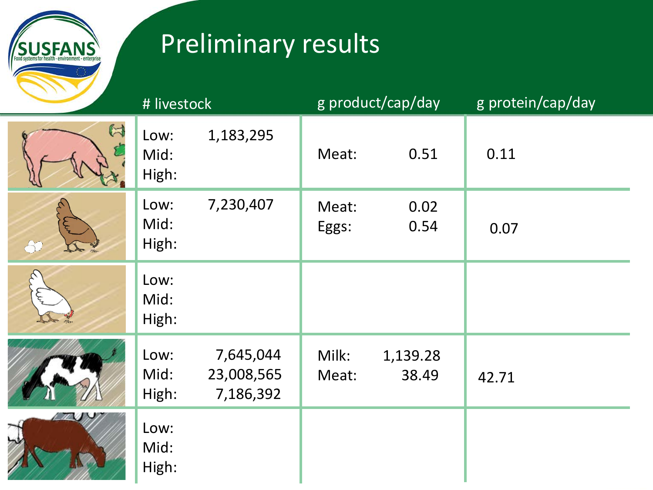**SUSFANS** 

## Preliminary results

|             | # livestock                                                   | g product/cap/day                   | g protein/cap/day |
|-------------|---------------------------------------------------------------|-------------------------------------|-------------------|
| $\boxtimes$ | 1,183,295<br>Low:<br>Mid:<br>High:                            | 0.51<br>Meat:                       | 0.11              |
| $\approx$   | 7,230,407<br>Low:<br>Mid:<br>High:                            | 0.02<br>Meat:<br>0.54<br>Eggs:      | 0.07              |
|             | Low:<br>Mid:<br>High:                                         |                                     |                   |
|             | Low:<br>7,645,044<br>Mid:<br>23,008,565<br>High:<br>7,186,392 | Milk:<br>1,139.28<br>38.49<br>Meat: | 42.71             |
|             | Low:<br>Mid:<br>High:                                         |                                     |                   |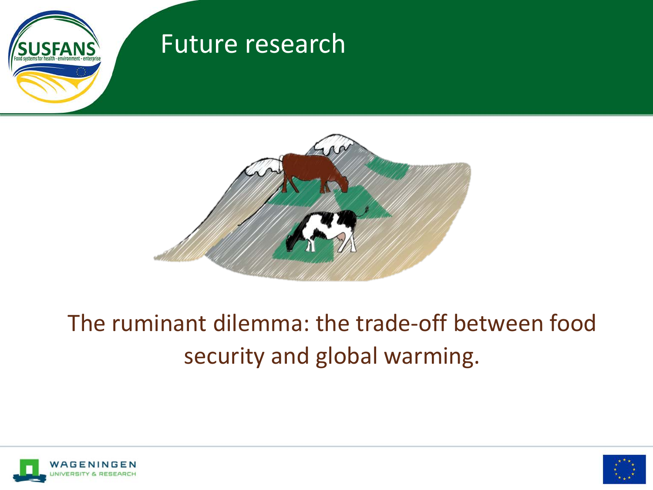

#### Future research



### The ruminant dilemma: the trade-off between food security and global warming.



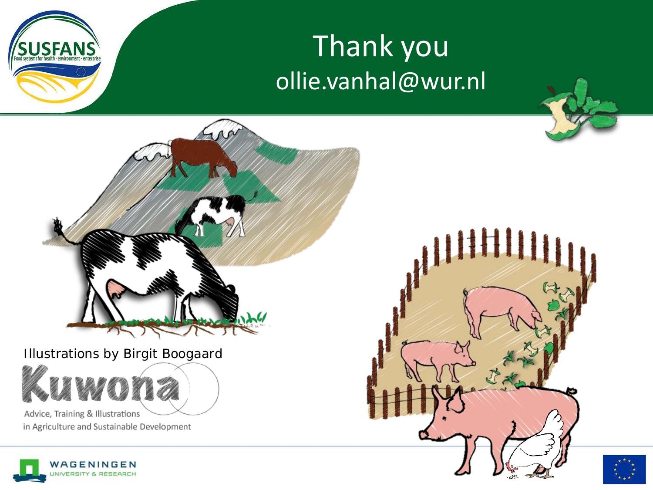

# Thank you ollie.vanhal@wur.nl



Illustrations by Birgit Boogaard

Advice, Training & Illustrations in Agriculture and Sustainable Development